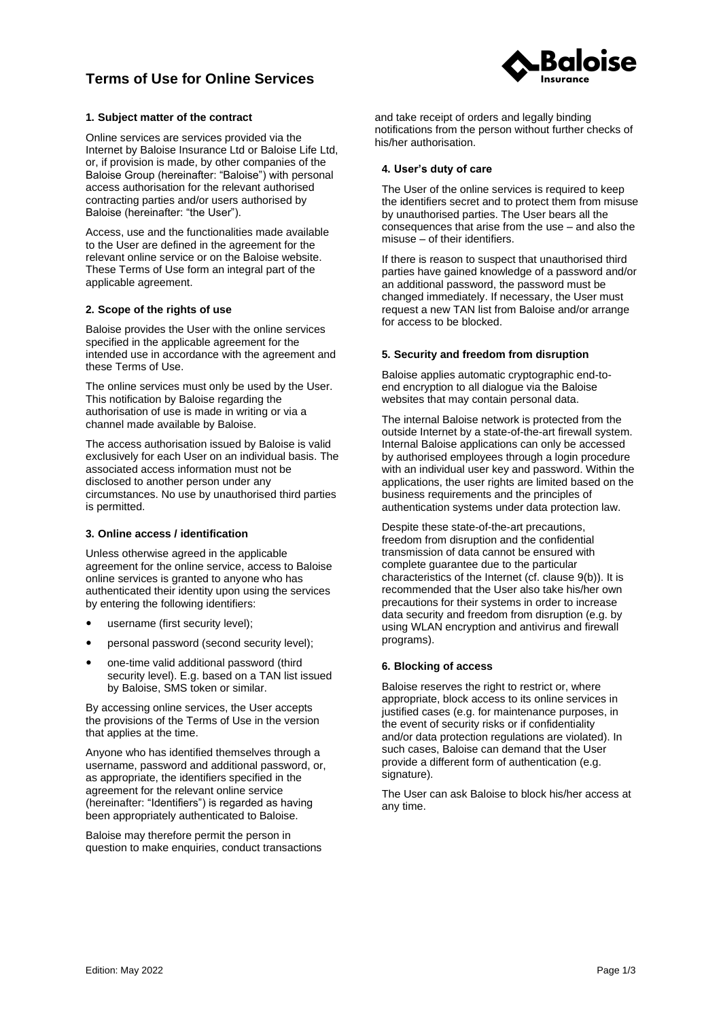# **Terms of Use for Online Services**



# **1. Subject matter of the contract**

Online services are services provided via the Internet by Baloise Insurance Ltd or Baloise Life Ltd, or, if provision is made, by other companies of the Baloise Group (hereinafter: "Baloise") with personal access authorisation for the relevant authorised contracting parties and/or users authorised by Baloise (hereinafter: "the User").

Access, use and the functionalities made available to the User are defined in the agreement for the relevant online service or on the Baloise website. These Terms of Use form an integral part of the applicable agreement.

### **2. Scope of the rights of use**

Baloise provides the User with the online services specified in the applicable agreement for the intended use in accordance with the agreement and these Terms of Use.

The online services must only be used by the User. This notification by Baloise regarding the authorisation of use is made in writing or via a channel made available by Baloise.

The access authorisation issued by Baloise is valid exclusively for each User on an individual basis. The associated access information must not be disclosed to another person under any circumstances. No use by unauthorised third parties is permitted.

### **3. Online access / identification**

Unless otherwise agreed in the applicable agreement for the online service, access to Baloise online services is granted to anyone who has authenticated their identity upon using the services by entering the following identifiers:

- username (first security level);
- personal password (second security level);
- one-time valid additional password (third security level). E.g. based on a TAN list issued by Baloise, SMS token or similar.

By accessing online services, the User accepts the provisions of the Terms of Use in the version that applies at the time.

Anyone who has identified themselves through a username, password and additional password, or, as appropriate, the identifiers specified in the agreement for the relevant online service (hereinafter: "Identifiers") is regarded as having been appropriately authenticated to Baloise.

Baloise may therefore permit the person in question to make enquiries, conduct transactions and take receipt of orders and legally binding notifications from the person without further checks of his/her authorisation.

# **4. User's duty of care**

The User of the online services is required to keep the identifiers secret and to protect them from misuse by unauthorised parties. The User bears all the consequences that arise from the use – and also the misuse – of their identifiers.

If there is reason to suspect that unauthorised third parties have gained knowledge of a password and/or an additional password, the password must be changed immediately. If necessary, the User must request a new TAN list from Baloise and/or arrange for access to be blocked.

### **5. Security and freedom from disruption**

Baloise applies automatic cryptographic end-toend encryption to all dialogue via the Baloise websites that may contain personal data.

The internal Baloise network is protected from the outside Internet by a state-of-the-art firewall system. Internal Baloise applications can only be accessed by authorised employees through a login procedure with an individual user key and password. Within the applications, the user rights are limited based on the business requirements and the principles of authentication systems under data protection law.

Despite these state-of-the-art precautions, freedom from disruption and the confidential transmission of data cannot be ensured with complete guarantee due to the particular characteristics of the Internet (cf. clause [9](#page-1-0)[\(b\)](#page-1-1)). It is recommended that the User also take his/her own precautions for their systems in order to increase data security and freedom from disruption (e.g. by using WLAN encryption and antivirus and firewall programs).

# **6. Blocking of access**

Baloise reserves the right to restrict or, where appropriate, block access to its online services in justified cases (e.g. for maintenance purposes, in the event of security risks or if confidentiality and/or data protection regulations are violated). In such cases, Baloise can demand that the User provide a different form of authentication (e.g. signature).

The User can ask Baloise to block his/her access at any time.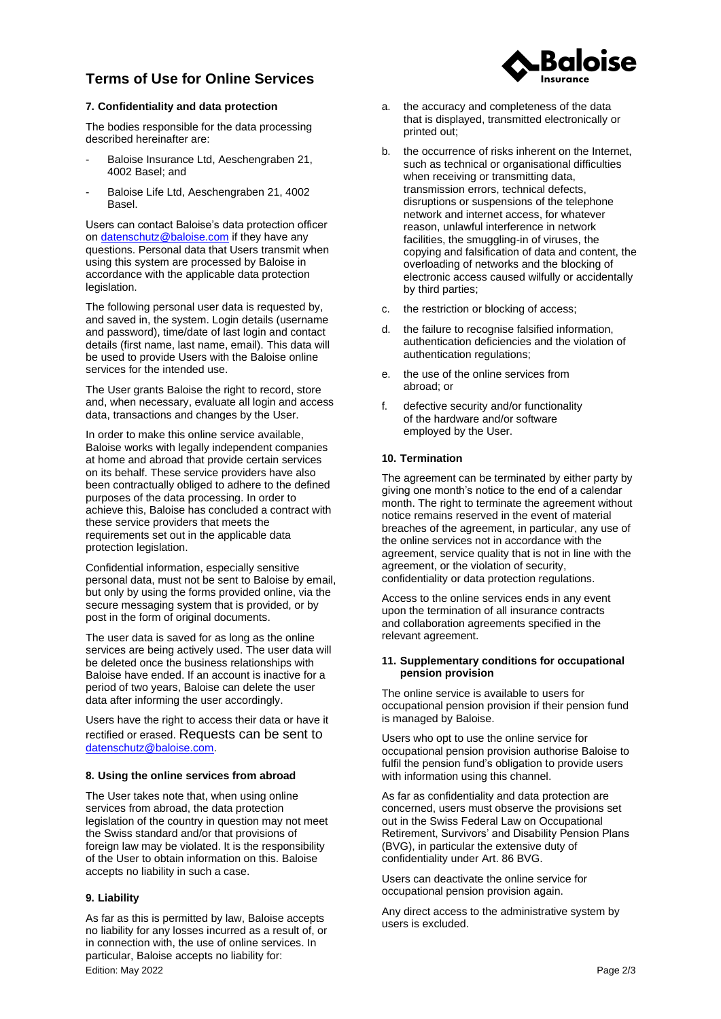# **Terms of Use for Online Services**

# **7. Confidentiality and data protection**

The bodies responsible for the data processing described hereinafter are:

- Baloise Insurance Ltd, Aeschengraben 21, 4002 Basel; and
- Baloise Life Ltd, Aeschengraben 21, 4002 Basel.

Users can contact Baloise's data protection officer on [datenschutz@baloise.com](mailto:datenschutz@baloise.com) if they have any questions. Personal data that Users transmit when using this system are processed by Baloise in accordance with the applicable data protection legislation.

The following personal user data is requested by, and saved in, the system. Login details (username and password), time/date of last login and contact details (first name, last name, email). This data will be used to provide Users with the Baloise online services for the intended use.

The User grants Baloise the right to record, store and, when necessary, evaluate all login and access data, transactions and changes by the User.

In order to make this online service available, Baloise works with legally independent companies at home and abroad that provide certain services on its behalf. These service providers have also been contractually obliged to adhere to the defined purposes of the data processing. In order to achieve this, Baloise has concluded a contract with these service providers that meets the requirements set out in the applicable data protection legislation.

Confidential information, especially sensitive personal data, must not be sent to Baloise by email, but only by using the forms provided online, via the secure messaging system that is provided, or by post in the form of original documents.

The user data is saved for as long as the online services are being actively used. The user data will be deleted once the business relationships with Baloise have ended. If an account is inactive for a period of two years, Baloise can delete the user data after informing the user accordingly.

Users have the right to access their data or have it rectified or erased. Requests can be sent to [datenschutz@baloise.com.](datenschutz@baloise.com)

## **8. Using the online services from abroad**

The User takes note that, when using online services from abroad, the data protection legislation of the country in question may not meet the Swiss standard and/or that provisions of foreign law may be violated. It is the responsibility of the User to obtain information on this. Baloise accepts no liability in such a case.

### <span id="page-1-0"></span>**9. Liability**

Edition: May 2022 Page 2/3 As far as this is permitted by law, Baloise accepts no liability for any losses incurred as a result of, or in connection with, the use of online services. In particular, Baloise accepts no liability for:

- a. the accuracy and completeness of the data that is displayed, transmitted electronically or printed out;
- <span id="page-1-1"></span>b. the occurrence of risks inherent on the Internet, such as technical or organisational difficulties when receiving or transmitting data, transmission errors, technical defects, disruptions or suspensions of the telephone network and internet access, for whatever reason, unlawful interference in network facilities, the smuggling-in of viruses, the copying and falsification of data and content, the overloading of networks and the blocking of electronic access caused wilfully or accidentally by third parties;
- c. the restriction or blocking of access;
- d. the failure to recognise falsified information, authentication deficiencies and the violation of authentication regulations;
- e. the use of the online services from abroad; or
- f. defective security and/or functionality of the hardware and/or software employed by the User.

### **10. Termination**

The agreement can be terminated by either party by giving one month's notice to the end of a calendar month. The right to terminate the agreement without notice remains reserved in the event of material breaches of the agreement, in particular, any use of the online services not in accordance with the agreement, service quality that is not in line with the agreement, or the violation of security, confidentiality or data protection regulations.

Access to the online services ends in any event upon the termination of all insurance contracts and collaboration agreements specified in the relevant agreement.

#### **11. Supplementary conditions for occupational pension provision**

The online service is available to users for occupational pension provision if their pension fund is managed by Baloise.

Users who opt to use the online service for occupational pension provision authorise Baloise to fulfil the pension fund's obligation to provide users with information using this channel.

As far as confidentiality and data protection are concerned, users must observe the provisions set out in the Swiss Federal Law on Occupational Retirement, Survivors' and Disability Pension Plans (BVG), in particular the extensive duty of confidentiality under Art. 86 BVG.

Users can deactivate the online service for occupational pension provision again.

Any direct access to the administrative system by users is excluded.